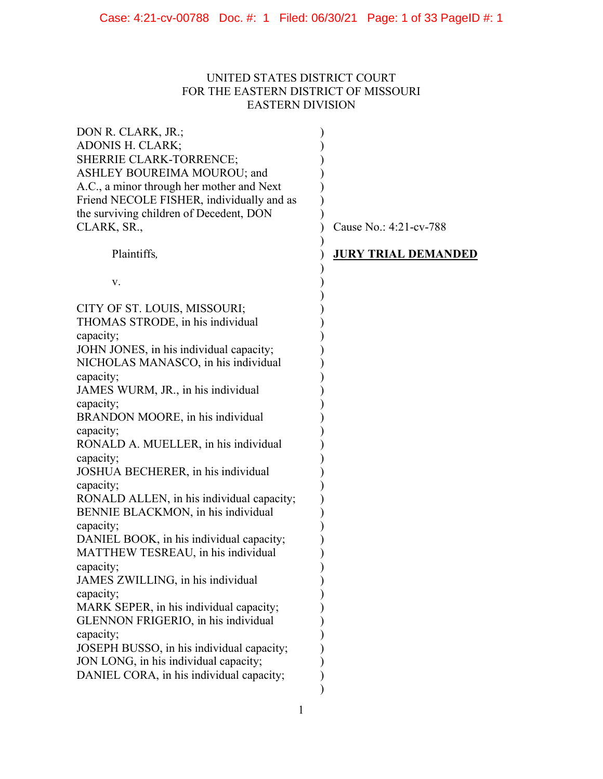# UNITED STATES DISTRICT COURT FOR THE EASTERN DISTRICT OF MISSOURI EASTERN DIVISION

| DON R. CLARK, JR.;<br><b>ADONIS H. CLARK;</b><br>SHERRIE CLARK-TORRENCE;<br>ASHLEY BOUREIMA MOUROU; and<br>A.C., a minor through her mother and Next<br>Friend NECOLE FISHER, individually and as<br>the surviving children of Decedent, DON<br>CLARK, SR.,                                                                                                                                                                                                                                                                                                                                                                                                                                                                                                                           | Cause No.: 4:21-cv-788     |
|---------------------------------------------------------------------------------------------------------------------------------------------------------------------------------------------------------------------------------------------------------------------------------------------------------------------------------------------------------------------------------------------------------------------------------------------------------------------------------------------------------------------------------------------------------------------------------------------------------------------------------------------------------------------------------------------------------------------------------------------------------------------------------------|----------------------------|
| Plaintiffs,                                                                                                                                                                                                                                                                                                                                                                                                                                                                                                                                                                                                                                                                                                                                                                           | <b>JURY TRIAL DEMANDED</b> |
| V.                                                                                                                                                                                                                                                                                                                                                                                                                                                                                                                                                                                                                                                                                                                                                                                    |                            |
| CITY OF ST. LOUIS, MISSOURI;<br>THOMAS STRODE, in his individual<br>capacity;<br>JOHN JONES, in his individual capacity;<br>NICHOLAS MANASCO, in his individual<br>capacity;<br>JAMES WURM, JR., in his individual<br>capacity;<br>BRANDON MOORE, in his individual<br>capacity;<br>RONALD A. MUELLER, in his individual<br>capacity;<br>JOSHUA BECHERER, in his individual<br>capacity;<br>RONALD ALLEN, in his individual capacity;<br>BENNIE BLACKMON, in his individual<br>capacity;<br>DANIEL BOOK, in his individual capacity;<br>MATTHEW TESREAU, in his individual<br>capacity;<br>JAMES ZWILLING, in his individual<br>capacity;<br>MARK SEPER, in his individual capacity;<br>GLENNON FRIGERIO, in his individual<br>capacity;<br>JOSEPH BUSSO, in his individual capacity; |                            |
| JON LONG, in his individual capacity;<br>DANIEL CORA, in his individual capacity;                                                                                                                                                                                                                                                                                                                                                                                                                                                                                                                                                                                                                                                                                                     |                            |
|                                                                                                                                                                                                                                                                                                                                                                                                                                                                                                                                                                                                                                                                                                                                                                                       |                            |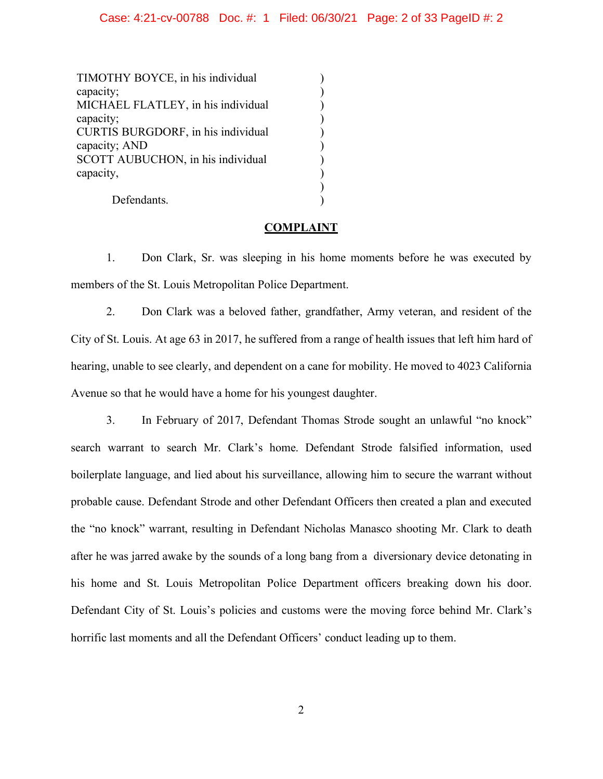### Case: 4:21-cv-00788 Doc. #: 1 Filed: 06/30/21 Page: 2 of 33 PageID #: 2

 $\lambda$ ) ) ) ) ) ) ) )  $\mathcal{L}$ 

TIMOTHY BOYCE, in his individual capacity; MICHAEL FLATLEY, in his individual capacity; CURTIS BURGDORF, in his individual capacity; AND SCOTT AUBUCHON, in his individual capacity,

Defendants.

### **COMPLAINT**

1. Don Clark, Sr. was sleeping in his home moments before he was executed by members of the St. Louis Metropolitan Police Department.

2. Don Clark was a beloved father, grandfather, Army veteran, and resident of the City of St. Louis. At age 63 in 2017, he suffered from a range of health issues that left him hard of hearing, unable to see clearly, and dependent on a cane for mobility. He moved to 4023 California Avenue so that he would have a home for his youngest daughter.

3. In February of 2017, Defendant Thomas Strode sought an unlawful "no knock" search warrant to search Mr. Clark's home. Defendant Strode falsified information, used boilerplate language, and lied about his surveillance, allowing him to secure the warrant without probable cause. Defendant Strode and other Defendant Officers then created a plan and executed the "no knock" warrant, resulting in Defendant Nicholas Manasco shooting Mr. Clark to death after he was jarred awake by the sounds of a long bang from a diversionary device detonating in his home and St. Louis Metropolitan Police Department officers breaking down his door. Defendant City of St. Louis's policies and customs were the moving force behind Mr. Clark's horrific last moments and all the Defendant Officers' conduct leading up to them.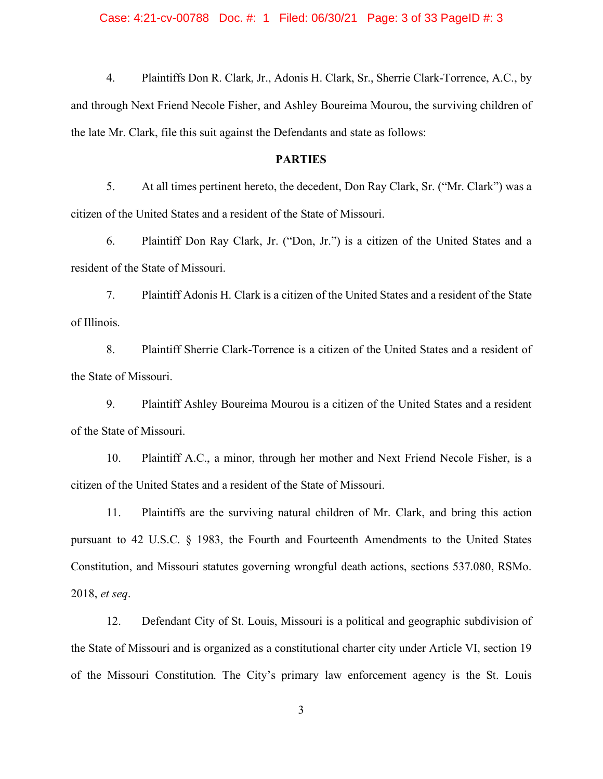### Case: 4:21-cv-00788 Doc. #: 1 Filed: 06/30/21 Page: 3 of 33 PageID #: 3

4. Plaintiffs Don R. Clark, Jr., Adonis H. Clark, Sr., Sherrie Clark-Torrence, A.C., by and through Next Friend Necole Fisher, and Ashley Boureima Mourou, the surviving children of the late Mr. Clark, file this suit against the Defendants and state as follows:

### **PARTIES**

5. At all times pertinent hereto, the decedent, Don Ray Clark, Sr. ("Mr. Clark") was a citizen of the United States and a resident of the State of Missouri.

6. Plaintiff Don Ray Clark, Jr. ("Don, Jr.") is a citizen of the United States and a resident of the State of Missouri.

7. Plaintiff Adonis H. Clark is a citizen of the United States and a resident of the State of Illinois.

8. Plaintiff Sherrie Clark-Torrence is a citizen of the United States and a resident of the State of Missouri.

9. Plaintiff Ashley Boureima Mourou is a citizen of the United States and a resident of the State of Missouri.

10. Plaintiff A.C., a minor, through her mother and Next Friend Necole Fisher, is a citizen of the United States and a resident of the State of Missouri.

11. Plaintiffs are the surviving natural children of Mr. Clark, and bring this action pursuant to 42 U.S.C. § 1983, the Fourth and Fourteenth Amendments to the United States Constitution, and Missouri statutes governing wrongful death actions, sections 537.080, RSMo. 2018, *et seq*.

12. Defendant City of St. Louis, Missouri is a political and geographic subdivision of the State of Missouri and is organized as a constitutional charter city under Article VI, section 19 of the Missouri Constitution. The City's primary law enforcement agency is the St. Louis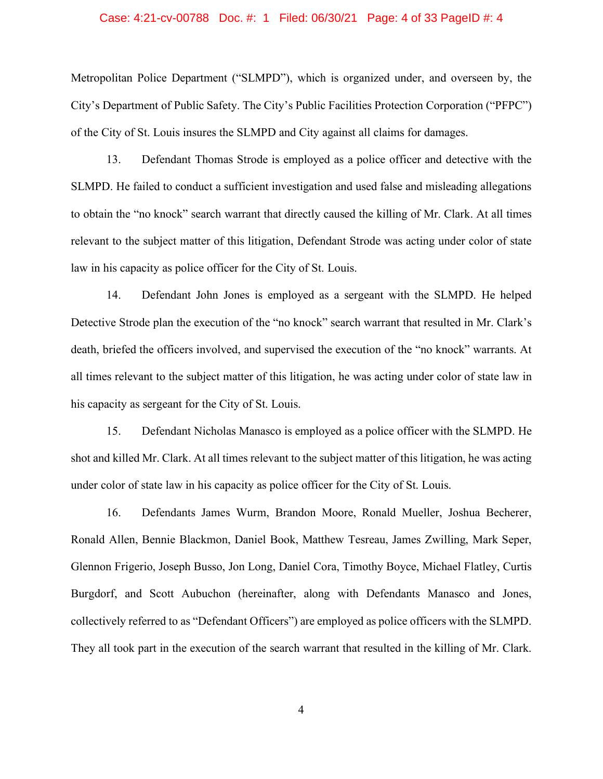### Case: 4:21-cv-00788 Doc. #: 1 Filed: 06/30/21 Page: 4 of 33 PageID #: 4

Metropolitan Police Department ("SLMPD"), which is organized under, and overseen by, the City's Department of Public Safety. The City's Public Facilities Protection Corporation ("PFPC") of the City of St. Louis insures the SLMPD and City against all claims for damages.

13. Defendant Thomas Strode is employed as a police officer and detective with the SLMPD. He failed to conduct a sufficient investigation and used false and misleading allegations to obtain the "no knock" search warrant that directly caused the killing of Mr. Clark. At all times relevant to the subject matter of this litigation, Defendant Strode was acting under color of state law in his capacity as police officer for the City of St. Louis.

14. Defendant John Jones is employed as a sergeant with the SLMPD. He helped Detective Strode plan the execution of the "no knock" search warrant that resulted in Mr. Clark's death, briefed the officers involved, and supervised the execution of the "no knock" warrants. At all times relevant to the subject matter of this litigation, he was acting under color of state law in his capacity as sergeant for the City of St. Louis.

15. Defendant Nicholas Manasco is employed as a police officer with the SLMPD. He shot and killed Mr. Clark. At all times relevant to the subject matter of this litigation, he was acting under color of state law in his capacity as police officer for the City of St. Louis.

16. Defendants James Wurm, Brandon Moore, Ronald Mueller, Joshua Becherer, Ronald Allen, Bennie Blackmon, Daniel Book, Matthew Tesreau, James Zwilling, Mark Seper, Glennon Frigerio, Joseph Busso, Jon Long, Daniel Cora, Timothy Boyce, Michael Flatley, Curtis Burgdorf, and Scott Aubuchon (hereinafter, along with Defendants Manasco and Jones, collectively referred to as "Defendant Officers") are employed as police officers with the SLMPD. They all took part in the execution of the search warrant that resulted in the killing of Mr. Clark.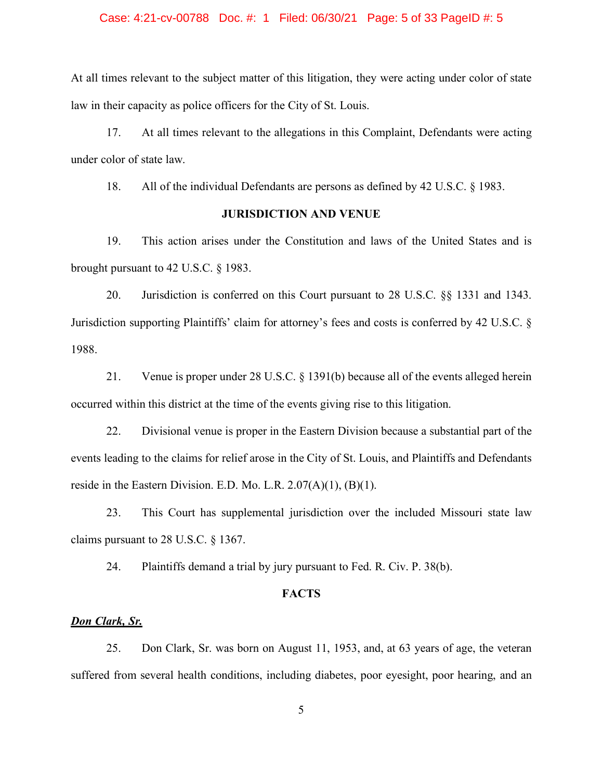### Case: 4:21-cv-00788 Doc. #: 1 Filed: 06/30/21 Page: 5 of 33 PageID #: 5

At all times relevant to the subject matter of this litigation, they were acting under color of state law in their capacity as police officers for the City of St. Louis.

17. At all times relevant to the allegations in this Complaint, Defendants were acting under color of state law.

18. All of the individual Defendants are persons as defined by 42 U.S.C. § 1983.

### **JURISDICTION AND VENUE**

19. This action arises under the Constitution and laws of the United States and is brought pursuant to 42 U.S.C. § 1983.

20. Jurisdiction is conferred on this Court pursuant to 28 U.S.C. §§ 1331 and 1343. Jurisdiction supporting Plaintiffs' claim for attorney's fees and costs is conferred by 42 U.S.C. § 1988.

21. Venue is proper under 28 U.S.C. § 1391(b) because all of the events alleged herein occurred within this district at the time of the events giving rise to this litigation.

22. Divisional venue is proper in the Eastern Division because a substantial part of the events leading to the claims for relief arose in the City of St. Louis, and Plaintiffs and Defendants reside in the Eastern Division. E.D. Mo. L.R.  $2.07(A)(1)$ ,  $(B)(1)$ .

23. This Court has supplemental jurisdiction over the included Missouri state law claims pursuant to 28 U.S.C. § 1367.

24. Plaintiffs demand a trial by jury pursuant to Fed. R. Civ. P. 38(b).

#### **FACTS**

#### *Don Clark, Sr.*

25. Don Clark, Sr. was born on August 11, 1953, and, at 63 years of age, the veteran suffered from several health conditions, including diabetes, poor eyesight, poor hearing, and an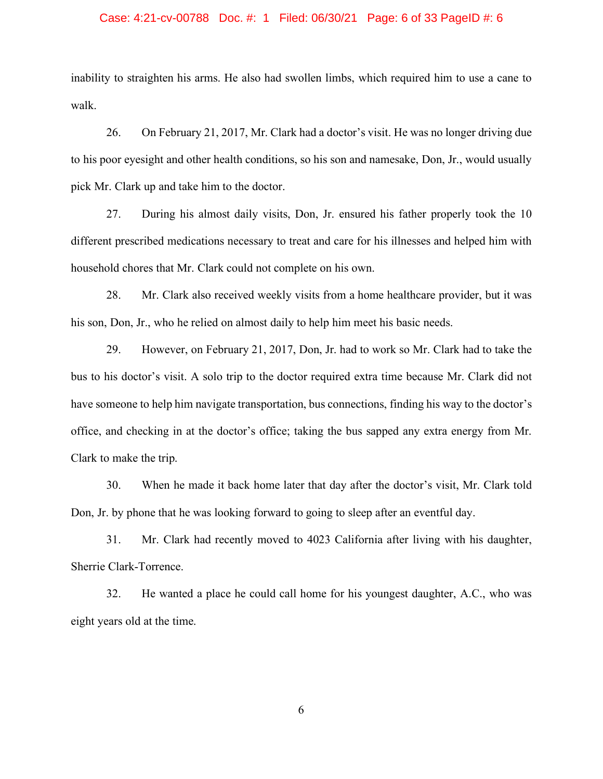### Case: 4:21-cv-00788 Doc. #: 1 Filed: 06/30/21 Page: 6 of 33 PageID #: 6

inability to straighten his arms. He also had swollen limbs, which required him to use a cane to walk.

26. On February 21, 2017, Mr. Clark had a doctor's visit. He was no longer driving due to his poor eyesight and other health conditions, so his son and namesake, Don, Jr., would usually pick Mr. Clark up and take him to the doctor.

27. During his almost daily visits, Don, Jr. ensured his father properly took the 10 different prescribed medications necessary to treat and care for his illnesses and helped him with household chores that Mr. Clark could not complete on his own.

28. Mr. Clark also received weekly visits from a home healthcare provider, but it was his son, Don, Jr., who he relied on almost daily to help him meet his basic needs.

29. However, on February 21, 2017, Don, Jr. had to work so Mr. Clark had to take the bus to his doctor's visit. A solo trip to the doctor required extra time because Mr. Clark did not have someone to help him navigate transportation, bus connections, finding his way to the doctor's office, and checking in at the doctor's office; taking the bus sapped any extra energy from Mr. Clark to make the trip.

30. When he made it back home later that day after the doctor's visit, Mr. Clark told Don, Jr. by phone that he was looking forward to going to sleep after an eventful day.

31. Mr. Clark had recently moved to 4023 California after living with his daughter, Sherrie Clark-Torrence.

32. He wanted a place he could call home for his youngest daughter, A.C., who was eight years old at the time.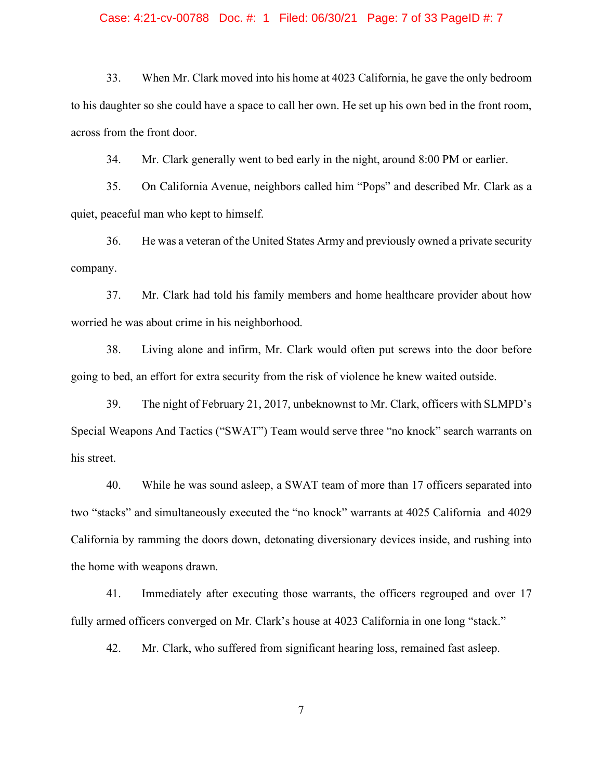### Case: 4:21-cv-00788 Doc. #: 1 Filed: 06/30/21 Page: 7 of 33 PageID #: 7

33. When Mr. Clark moved into his home at 4023 California, he gave the only bedroom to his daughter so she could have a space to call her own. He set up his own bed in the front room, across from the front door.

34. Mr. Clark generally went to bed early in the night, around 8:00 PM or earlier.

35. On California Avenue, neighbors called him "Pops" and described Mr. Clark as a quiet, peaceful man who kept to himself.

36. He was a veteran of the United States Army and previously owned a private security company.

37. Mr. Clark had told his family members and home healthcare provider about how worried he was about crime in his neighborhood.

38. Living alone and infirm, Mr. Clark would often put screws into the door before going to bed, an effort for extra security from the risk of violence he knew waited outside.

39. The night of February 21, 2017, unbeknownst to Mr. Clark, officers with SLMPD's Special Weapons And Tactics ("SWAT") Team would serve three "no knock" search warrants on his street.

40. While he was sound asleep, a SWAT team of more than 17 officers separated into two "stacks" and simultaneously executed the "no knock" warrants at 4025 California and 4029 California by ramming the doors down, detonating diversionary devices inside, and rushing into the home with weapons drawn.

41. Immediately after executing those warrants, the officers regrouped and over 17 fully armed officers converged on Mr. Clark's house at 4023 California in one long "stack."

42. Mr. Clark, who suffered from significant hearing loss, remained fast asleep.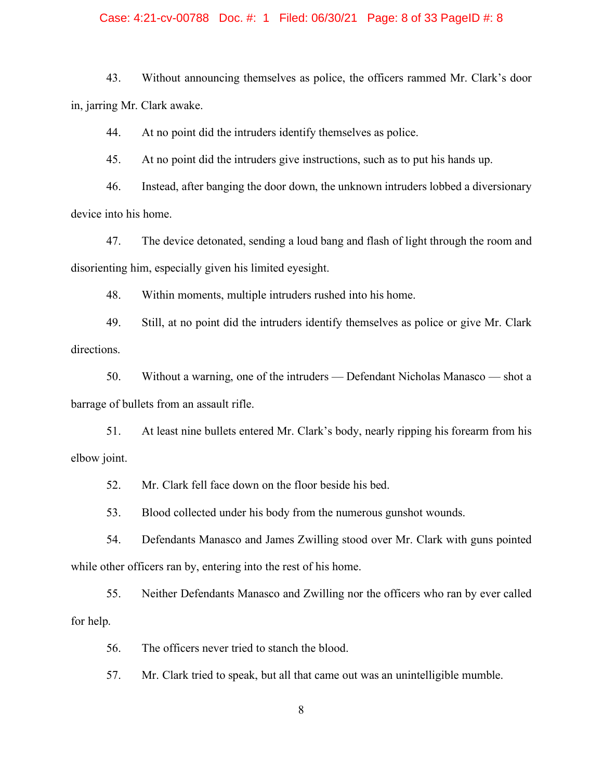### Case: 4:21-cv-00788 Doc. #: 1 Filed: 06/30/21 Page: 8 of 33 PageID #: 8

43. Without announcing themselves as police, the officers rammed Mr. Clark's door in, jarring Mr. Clark awake.

44. At no point did the intruders identify themselves as police.

45. At no point did the intruders give instructions, such as to put his hands up.

46. Instead, after banging the door down, the unknown intruders lobbed a diversionary device into his home.

47. The device detonated, sending a loud bang and flash of light through the room and disorienting him, especially given his limited eyesight.

48. Within moments, multiple intruders rushed into his home.

49. Still, at no point did the intruders identify themselves as police or give Mr. Clark directions.

50. Without a warning, one of the intruders — Defendant Nicholas Manasco — shot a barrage of bullets from an assault rifle.

51. At least nine bullets entered Mr. Clark's body, nearly ripping his forearm from his elbow joint.

52. Mr. Clark fell face down on the floor beside his bed.

53. Blood collected under his body from the numerous gunshot wounds.

54. Defendants Manasco and James Zwilling stood over Mr. Clark with guns pointed while other officers ran by, entering into the rest of his home.

55. Neither Defendants Manasco and Zwilling nor the officers who ran by ever called for help.

56. The officers never tried to stanch the blood.

57. Mr. Clark tried to speak, but all that came out was an unintelligible mumble.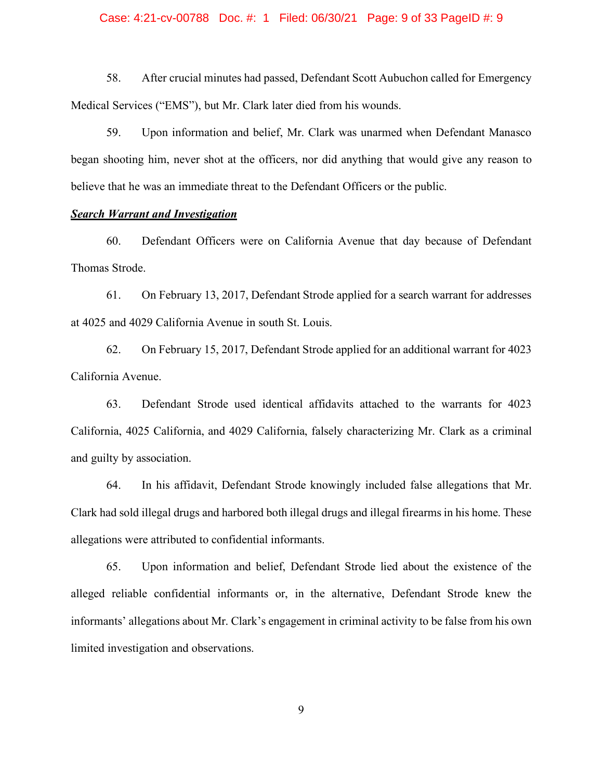### Case: 4:21-cv-00788 Doc. #: 1 Filed: 06/30/21 Page: 9 of 33 PageID #: 9

58. After crucial minutes had passed, Defendant Scott Aubuchon called for Emergency Medical Services ("EMS"), but Mr. Clark later died from his wounds.

59. Upon information and belief, Mr. Clark was unarmed when Defendant Manasco began shooting him, never shot at the officers, nor did anything that would give any reason to believe that he was an immediate threat to the Defendant Officers or the public.

### *Search Warrant and Investigation*

60. Defendant Officers were on California Avenue that day because of Defendant Thomas Strode.

61. On February 13, 2017, Defendant Strode applied for a search warrant for addresses at 4025 and 4029 California Avenue in south St. Louis.

62. On February 15, 2017, Defendant Strode applied for an additional warrant for 4023 California Avenue.

63. Defendant Strode used identical affidavits attached to the warrants for 4023 California, 4025 California, and 4029 California, falsely characterizing Mr. Clark as a criminal and guilty by association.

64. In his affidavit, Defendant Strode knowingly included false allegations that Mr. Clark had sold illegal drugs and harbored both illegal drugs and illegal firearms in his home. These allegations were attributed to confidential informants.

65. Upon information and belief, Defendant Strode lied about the existence of the alleged reliable confidential informants or, in the alternative, Defendant Strode knew the informants' allegations about Mr. Clark's engagement in criminal activity to be false from his own limited investigation and observations.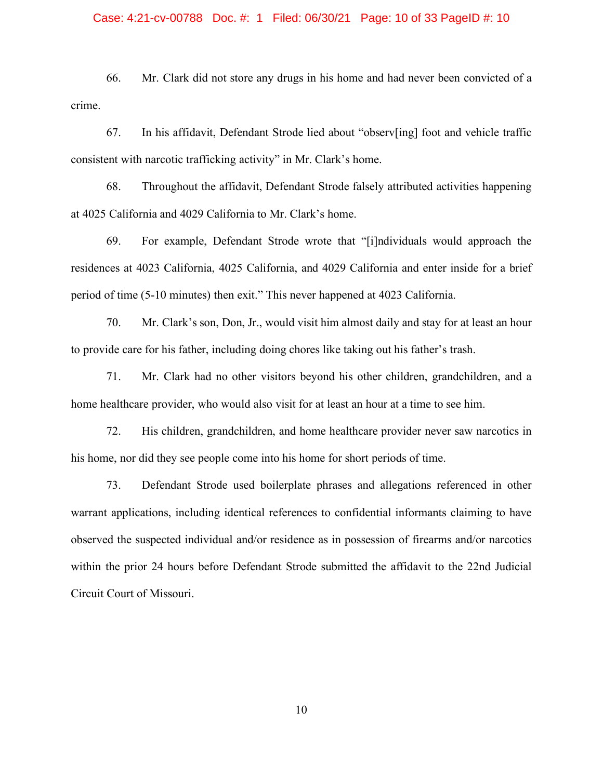### Case: 4:21-cv-00788 Doc. #: 1 Filed: 06/30/21 Page: 10 of 33 PageID #: 10

66. Mr. Clark did not store any drugs in his home and had never been convicted of a crime.

67. In his affidavit, Defendant Strode lied about "observ[ing] foot and vehicle traffic consistent with narcotic trafficking activity" in Mr. Clark's home.

68. Throughout the affidavit, Defendant Strode falsely attributed activities happening at 4025 California and 4029 California to Mr. Clark's home.

69. For example, Defendant Strode wrote that "[i]ndividuals would approach the residences at 4023 California, 4025 California, and 4029 California and enter inside for a brief period of time (5-10 minutes) then exit." This never happened at 4023 California.

70. Mr. Clark's son, Don, Jr., would visit him almost daily and stay for at least an hour to provide care for his father, including doing chores like taking out his father's trash.

71. Mr. Clark had no other visitors beyond his other children, grandchildren, and a home healthcare provider, who would also visit for at least an hour at a time to see him.

72. His children, grandchildren, and home healthcare provider never saw narcotics in his home, nor did they see people come into his home for short periods of time.

73. Defendant Strode used boilerplate phrases and allegations referenced in other warrant applications, including identical references to confidential informants claiming to have observed the suspected individual and/or residence as in possession of firearms and/or narcotics within the prior 24 hours before Defendant Strode submitted the affidavit to the 22nd Judicial Circuit Court of Missouri.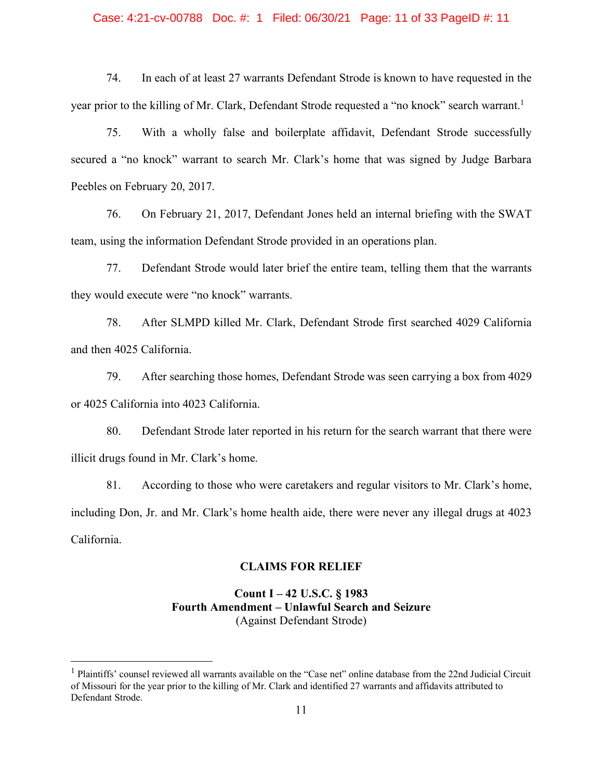### Case: 4:21-cv-00788 Doc. #: 1 Filed: 06/30/21 Page: 11 of 33 PageID #: 11

74. In each of at least 27 warrants Defendant Strode is known to have requested in the year prior to the killing of Mr. Clark, Defendant Strode requested a "no knock" search warrant.<sup>1</sup>

75. With a wholly false and boilerplate affidavit, Defendant Strode successfully secured a "no knock" warrant to search Mr. Clark's home that was signed by Judge Barbara Peebles on February 20, 2017.

76. On February 21, 2017, Defendant Jones held an internal briefing with the SWAT team, using the information Defendant Strode provided in an operations plan.

77. Defendant Strode would later brief the entire team, telling them that the warrants they would execute were "no knock" warrants.

78. After SLMPD killed Mr. Clark, Defendant Strode first searched 4029 California and then 4025 California.

79. After searching those homes, Defendant Strode was seen carrying a box from 4029 or 4025 California into 4023 California.

80. Defendant Strode later reported in his return for the search warrant that there were illicit drugs found in Mr. Clark's home.

81. According to those who were caretakers and regular visitors to Mr. Clark's home, including Don, Jr. and Mr. Clark's home health aide, there were never any illegal drugs at 4023 California.

### **CLAIMS FOR RELIEF**

# **Count I – 42 U.S.C. § 1983 Fourth Amendment – Unlawful Search and Seizure** (Against Defendant Strode)

<sup>&</sup>lt;sup>1</sup> Plaintiffs' counsel reviewed all warrants available on the "Case net" online database from the 22nd Judicial Circuit of Missouri for the year prior to the killing of Mr. Clark and identified 27 warrants and affidavits attributed to Defendant Strode.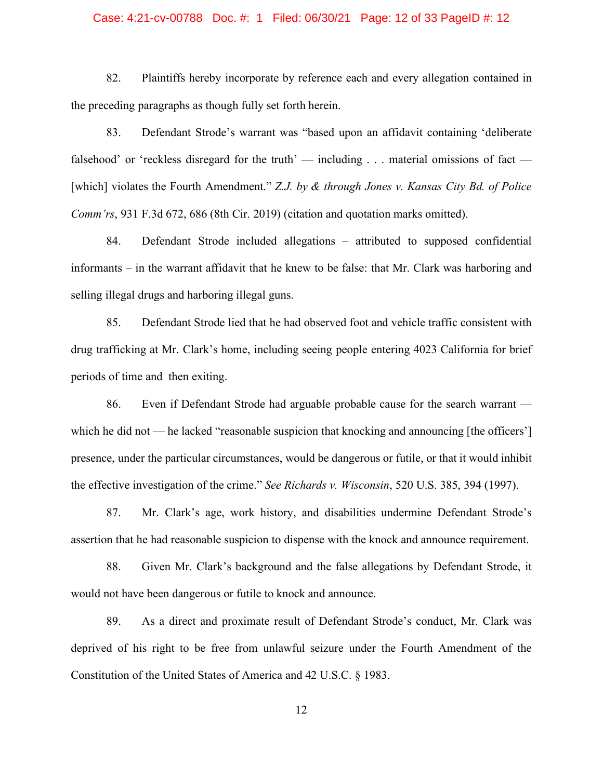### Case: 4:21-cv-00788 Doc. #: 1 Filed: 06/30/21 Page: 12 of 33 PageID #: 12

82. Plaintiffs hereby incorporate by reference each and every allegation contained in the preceding paragraphs as though fully set forth herein.

83. Defendant Strode's warrant was "based upon an affidavit containing 'deliberate falsehood' or 'reckless disregard for the truth' — including  $\ldots$  material omissions of fact — [which] violates the Fourth Amendment." *Z.J. by & through Jones v. Kansas City Bd. of Police Comm'rs*, 931 F.3d 672, 686 (8th Cir. 2019) (citation and quotation marks omitted).

84. Defendant Strode included allegations – attributed to supposed confidential informants – in the warrant affidavit that he knew to be false: that Mr. Clark was harboring and selling illegal drugs and harboring illegal guns.

85. Defendant Strode lied that he had observed foot and vehicle traffic consistent with drug trafficking at Mr. Clark's home, including seeing people entering 4023 California for brief periods of time and then exiting.

86. Even if Defendant Strode had arguable probable cause for the search warrant which he did not — he lacked "reasonable suspicion that knocking and announcing [the officers'] presence, under the particular circumstances, would be dangerous or futile, or that it would inhibit the effective investigation of the crime." *See Richards v. Wisconsin*, 520 U.S. 385, 394 (1997).

87. Mr. Clark's age, work history, and disabilities undermine Defendant Strode's assertion that he had reasonable suspicion to dispense with the knock and announce requirement.

88. Given Mr. Clark's background and the false allegations by Defendant Strode, it would not have been dangerous or futile to knock and announce.

89. As a direct and proximate result of Defendant Strode's conduct, Mr. Clark was deprived of his right to be free from unlawful seizure under the Fourth Amendment of the Constitution of the United States of America and 42 U.S.C. § 1983.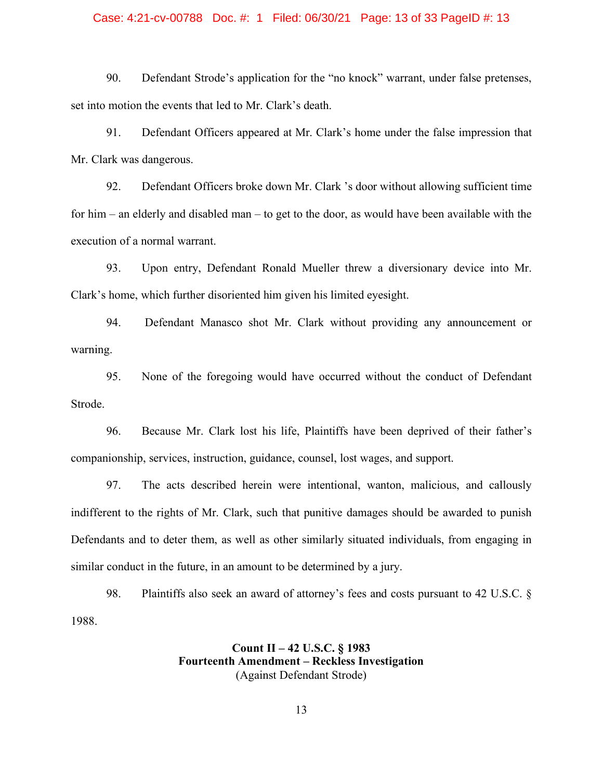### Case: 4:21-cv-00788 Doc. #: 1 Filed: 06/30/21 Page: 13 of 33 PageID #: 13

90. Defendant Strode's application for the "no knock" warrant, under false pretenses, set into motion the events that led to Mr. Clark's death.

91. Defendant Officers appeared at Mr. Clark's home under the false impression that Mr. Clark was dangerous.

92. Defendant Officers broke down Mr. Clark 's door without allowing sufficient time for him – an elderly and disabled man – to get to the door, as would have been available with the execution of a normal warrant.

93. Upon entry, Defendant Ronald Mueller threw a diversionary device into Mr. Clark's home, which further disoriented him given his limited eyesight.

94. Defendant Manasco shot Mr. Clark without providing any announcement or warning.

95. None of the foregoing would have occurred without the conduct of Defendant Strode.

96. Because Mr. Clark lost his life, Plaintiffs have been deprived of their father's companionship, services, instruction, guidance, counsel, lost wages, and support.

97. The acts described herein were intentional, wanton, malicious, and callously indifferent to the rights of Mr. Clark, such that punitive damages should be awarded to punish Defendants and to deter them, as well as other similarly situated individuals, from engaging in similar conduct in the future, in an amount to be determined by a jury.

98. Plaintiffs also seek an award of attorney's fees and costs pursuant to 42 U.S.C. § 1988.

### **Count II – 42 U.S.C. § 1983 Fourteenth Amendment – Reckless Investigation** (Against Defendant Strode)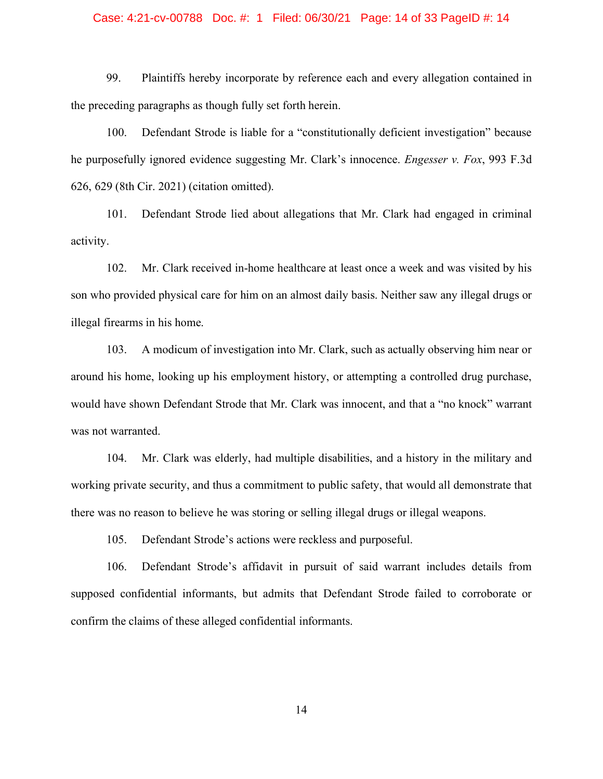### Case: 4:21-cv-00788 Doc. #: 1 Filed: 06/30/21 Page: 14 of 33 PageID #: 14

99. Plaintiffs hereby incorporate by reference each and every allegation contained in the preceding paragraphs as though fully set forth herein.

100. Defendant Strode is liable for a "constitutionally deficient investigation" because he purposefully ignored evidence suggesting Mr. Clark's innocence. *Engesser v. Fox*, 993 F.3d 626, 629 (8th Cir. 2021) (citation omitted).

101. Defendant Strode lied about allegations that Mr. Clark had engaged in criminal activity.

102. Mr. Clark received in-home healthcare at least once a week and was visited by his son who provided physical care for him on an almost daily basis. Neither saw any illegal drugs or illegal firearms in his home.

103. A modicum of investigation into Mr. Clark, such as actually observing him near or around his home, looking up his employment history, or attempting a controlled drug purchase, would have shown Defendant Strode that Mr. Clark was innocent, and that a "no knock" warrant was not warranted.

104. Mr. Clark was elderly, had multiple disabilities, and a history in the military and working private security, and thus a commitment to public safety, that would all demonstrate that there was no reason to believe he was storing or selling illegal drugs or illegal weapons.

105. Defendant Strode's actions were reckless and purposeful.

106. Defendant Strode's affidavit in pursuit of said warrant includes details from supposed confidential informants, but admits that Defendant Strode failed to corroborate or confirm the claims of these alleged confidential informants.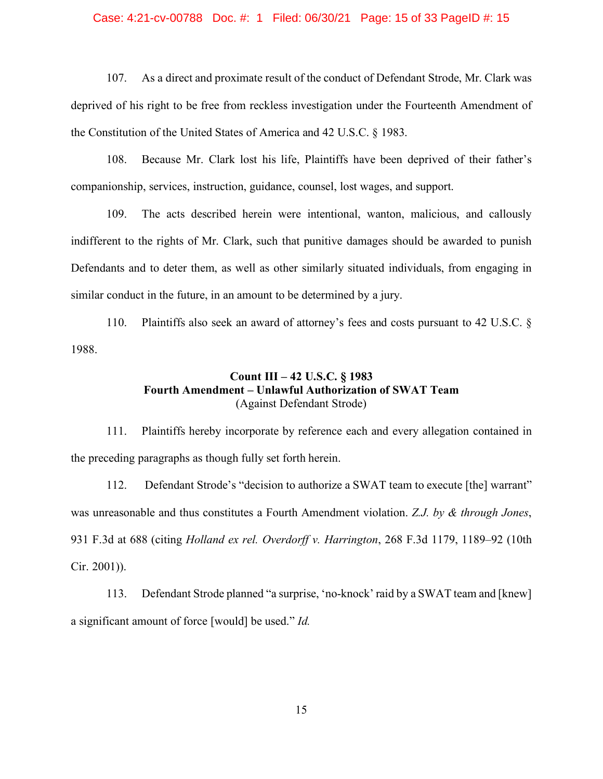### Case: 4:21-cv-00788 Doc. #: 1 Filed: 06/30/21 Page: 15 of 33 PageID #: 15

107. As a direct and proximate result of the conduct of Defendant Strode, Mr. Clark was deprived of his right to be free from reckless investigation under the Fourteenth Amendment of the Constitution of the United States of America and 42 U.S.C. § 1983.

108. Because Mr. Clark lost his life, Plaintiffs have been deprived of their father's companionship, services, instruction, guidance, counsel, lost wages, and support.

109. The acts described herein were intentional, wanton, malicious, and callously indifferent to the rights of Mr. Clark, such that punitive damages should be awarded to punish Defendants and to deter them, as well as other similarly situated individuals, from engaging in similar conduct in the future, in an amount to be determined by a jury.

110. Plaintiffs also seek an award of attorney's fees and costs pursuant to 42 U.S.C. § 1988.

# **Count III – 42 U.S.C. § 1983 Fourth Amendment – Unlawful Authorization of SWAT Team** (Against Defendant Strode)

111. Plaintiffs hereby incorporate by reference each and every allegation contained in the preceding paragraphs as though fully set forth herein.

112. Defendant Strode's "decision to authorize a SWAT team to execute [the] warrant" was unreasonable and thus constitutes a Fourth Amendment violation. *Z.J. by & through Jones*, 931 F.3d at 688 (citing *Holland ex rel. Overdorff v. Harrington*, 268 F.3d 1179, 1189–92 (10th Cir. 2001)).

113. Defendant Strode planned "a surprise, 'no-knock' raid by a SWAT team and [knew] a significant amount of force [would] be used." *Id.*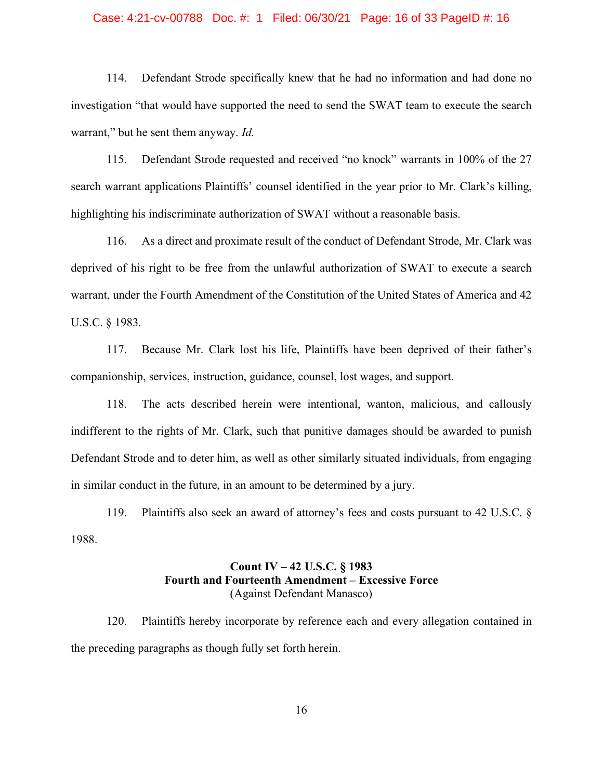### Case: 4:21-cv-00788 Doc. #: 1 Filed: 06/30/21 Page: 16 of 33 PageID #: 16

114. Defendant Strode specifically knew that he had no information and had done no investigation "that would have supported the need to send the SWAT team to execute the search warrant," but he sent them anyway. *Id.*

115. Defendant Strode requested and received "no knock" warrants in 100% of the 27 search warrant applications Plaintiffs' counsel identified in the year prior to Mr. Clark's killing, highlighting his indiscriminate authorization of SWAT without a reasonable basis.

116. As a direct and proximate result of the conduct of Defendant Strode, Mr. Clark was deprived of his right to be free from the unlawful authorization of SWAT to execute a search warrant, under the Fourth Amendment of the Constitution of the United States of America and 42 U.S.C. § 1983.

117. Because Mr. Clark lost his life, Plaintiffs have been deprived of their father's companionship, services, instruction, guidance, counsel, lost wages, and support.

118. The acts described herein were intentional, wanton, malicious, and callously indifferent to the rights of Mr. Clark, such that punitive damages should be awarded to punish Defendant Strode and to deter him, as well as other similarly situated individuals, from engaging in similar conduct in the future, in an amount to be determined by a jury.

119. Plaintiffs also seek an award of attorney's fees and costs pursuant to 42 U.S.C. § 1988.

# **Count IV – 42 U.S.C. § 1983 Fourth and Fourteenth Amendment – Excessive Force** (Against Defendant Manasco)

120. Plaintiffs hereby incorporate by reference each and every allegation contained in the preceding paragraphs as though fully set forth herein.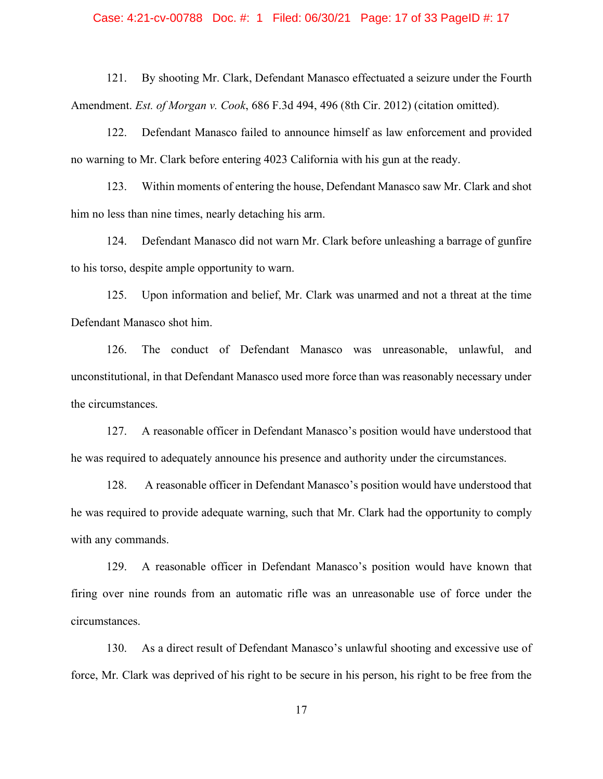### Case: 4:21-cv-00788 Doc. #: 1 Filed: 06/30/21 Page: 17 of 33 PageID #: 17

121. By shooting Mr. Clark, Defendant Manasco effectuated a seizure under the Fourth Amendment. *Est. of Morgan v. Cook*, 686 F.3d 494, 496 (8th Cir. 2012) (citation omitted).

122. Defendant Manasco failed to announce himself as law enforcement and provided no warning to Mr. Clark before entering 4023 California with his gun at the ready.

123. Within moments of entering the house, Defendant Manasco saw Mr. Clark and shot him no less than nine times, nearly detaching his arm.

124. Defendant Manasco did not warn Mr. Clark before unleashing a barrage of gunfire to his torso, despite ample opportunity to warn.

125. Upon information and belief, Mr. Clark was unarmed and not a threat at the time Defendant Manasco shot him.

126. The conduct of Defendant Manasco was unreasonable, unlawful, and unconstitutional, in that Defendant Manasco used more force than was reasonably necessary under the circumstances.

127. A reasonable officer in Defendant Manasco's position would have understood that he was required to adequately announce his presence and authority under the circumstances.

128. A reasonable officer in Defendant Manasco's position would have understood that he was required to provide adequate warning, such that Mr. Clark had the opportunity to comply with any commands.

129. A reasonable officer in Defendant Manasco's position would have known that firing over nine rounds from an automatic rifle was an unreasonable use of force under the circumstances.

130. As a direct result of Defendant Manasco's unlawful shooting and excessive use of force, Mr. Clark was deprived of his right to be secure in his person, his right to be free from the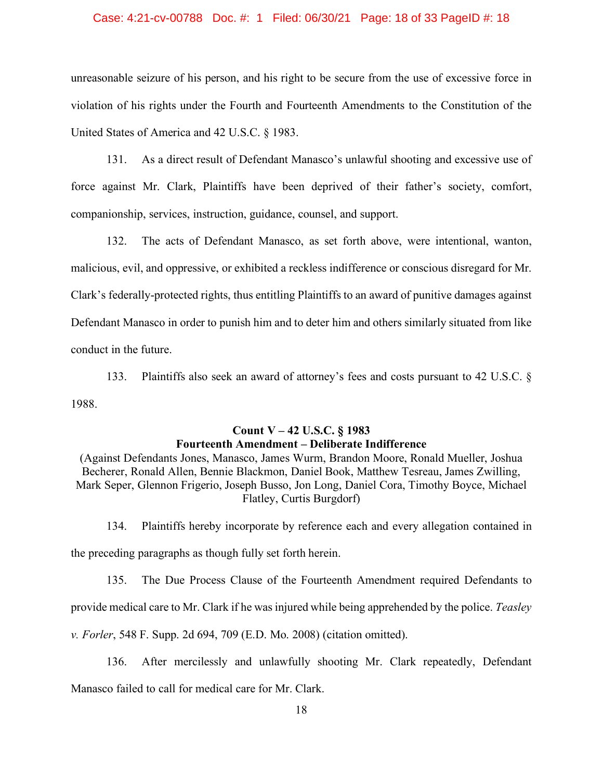### Case: 4:21-cv-00788 Doc. #: 1 Filed: 06/30/21 Page: 18 of 33 PageID #: 18

unreasonable seizure of his person, and his right to be secure from the use of excessive force in violation of his rights under the Fourth and Fourteenth Amendments to the Constitution of the United States of America and 42 U.S.C. § 1983.

131. As a direct result of Defendant Manasco's unlawful shooting and excessive use of force against Mr. Clark, Plaintiffs have been deprived of their father's society, comfort, companionship, services, instruction, guidance, counsel, and support.

132. The acts of Defendant Manasco, as set forth above, were intentional, wanton, malicious, evil, and oppressive, or exhibited a reckless indifference or conscious disregard for Mr. Clark's federally-protected rights, thus entitling Plaintiffs to an award of punitive damages against Defendant Manasco in order to punish him and to deter him and others similarly situated from like conduct in the future.

133. Plaintiffs also seek an award of attorney's fees and costs pursuant to 42 U.S.C. § 1988.

# **Count V – 42 U.S.C. § 1983 Fourteenth Amendment – Deliberate Indifference**

(Against Defendants Jones, Manasco, James Wurm, Brandon Moore, Ronald Mueller, Joshua Becherer, Ronald Allen, Bennie Blackmon, Daniel Book, Matthew Tesreau, James Zwilling, Mark Seper, Glennon Frigerio, Joseph Busso, Jon Long, Daniel Cora, Timothy Boyce, Michael Flatley, Curtis Burgdorf)

134. Plaintiffs hereby incorporate by reference each and every allegation contained in the preceding paragraphs as though fully set forth herein.

135. The Due Process Clause of the Fourteenth Amendment required Defendants to

provide medical care to Mr. Clark if he was injured while being apprehended by the police. *Teasley* 

*v. Forler*, 548 F. Supp. 2d 694, 709 (E.D. Mo. 2008) (citation omitted).

136. After mercilessly and unlawfully shooting Mr. Clark repeatedly, Defendant Manasco failed to call for medical care for Mr. Clark.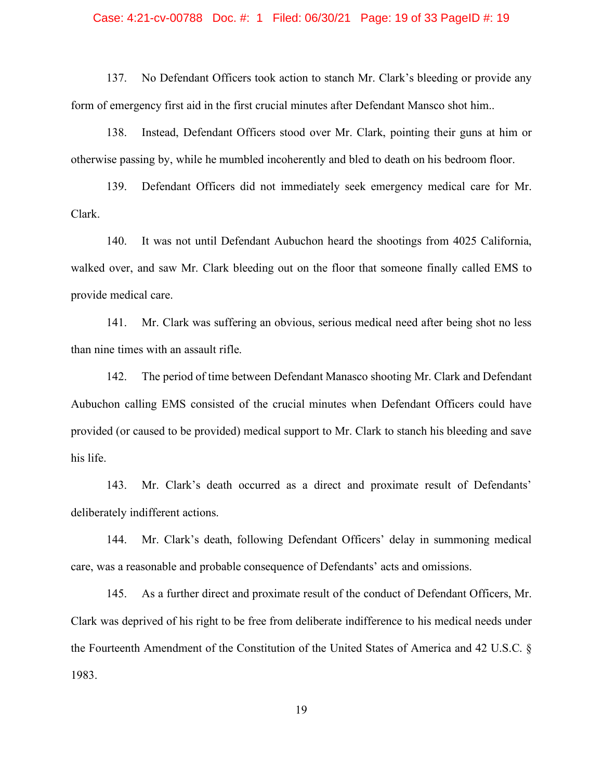### Case: 4:21-cv-00788 Doc. #: 1 Filed: 06/30/21 Page: 19 of 33 PageID #: 19

137. No Defendant Officers took action to stanch Mr. Clark's bleeding or provide any form of emergency first aid in the first crucial minutes after Defendant Mansco shot him..

138. Instead, Defendant Officers stood over Mr. Clark, pointing their guns at him or otherwise passing by, while he mumbled incoherently and bled to death on his bedroom floor.

139. Defendant Officers did not immediately seek emergency medical care for Mr. Clark.

140. It was not until Defendant Aubuchon heard the shootings from 4025 California, walked over, and saw Mr. Clark bleeding out on the floor that someone finally called EMS to provide medical care.

141. Mr. Clark was suffering an obvious, serious medical need after being shot no less than nine times with an assault rifle.

142. The period of time between Defendant Manasco shooting Mr. Clark and Defendant Aubuchon calling EMS consisted of the crucial minutes when Defendant Officers could have provided (or caused to be provided) medical support to Mr. Clark to stanch his bleeding and save his life.

143. Mr. Clark's death occurred as a direct and proximate result of Defendants' deliberately indifferent actions.

144. Mr. Clark's death, following Defendant Officers' delay in summoning medical care, was a reasonable and probable consequence of Defendants' acts and omissions.

145. As a further direct and proximate result of the conduct of Defendant Officers, Mr. Clark was deprived of his right to be free from deliberate indifference to his medical needs under the Fourteenth Amendment of the Constitution of the United States of America and 42 U.S.C. § 1983.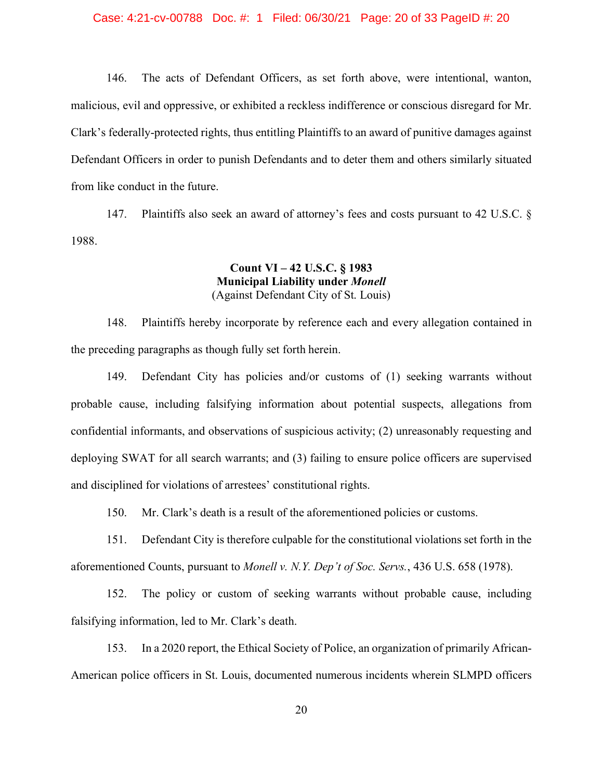146. The acts of Defendant Officers, as set forth above, were intentional, wanton, malicious, evil and oppressive, or exhibited a reckless indifference or conscious disregard for Mr. Clark's federally-protected rights, thus entitling Plaintiffs to an award of punitive damages against Defendant Officers in order to punish Defendants and to deter them and others similarly situated from like conduct in the future.

147. Plaintiffs also seek an award of attorney's fees and costs pursuant to 42 U.S.C. § 1988.

# **Count VI – 42 U.S.C. § 1983 Municipal Liability under** *Monell* (Against Defendant City of St. Louis)

148. Plaintiffs hereby incorporate by reference each and every allegation contained in the preceding paragraphs as though fully set forth herein.

149. Defendant City has policies and/or customs of (1) seeking warrants without probable cause, including falsifying information about potential suspects, allegations from confidential informants, and observations of suspicious activity; (2) unreasonably requesting and deploying SWAT for all search warrants; and (3) failing to ensure police officers are supervised and disciplined for violations of arrestees' constitutional rights.

150. Mr. Clark's death is a result of the aforementioned policies or customs.

151. Defendant City is therefore culpable for the constitutional violations set forth in the aforementioned Counts, pursuant to *Monell v. N.Y. Dep't of Soc. Servs.*, 436 U.S. 658 (1978).

152. The policy or custom of seeking warrants without probable cause, including falsifying information, led to Mr. Clark's death.

153. In a 2020 report, the Ethical Society of Police, an organization of primarily African-American police officers in St. Louis, documented numerous incidents wherein SLMPD officers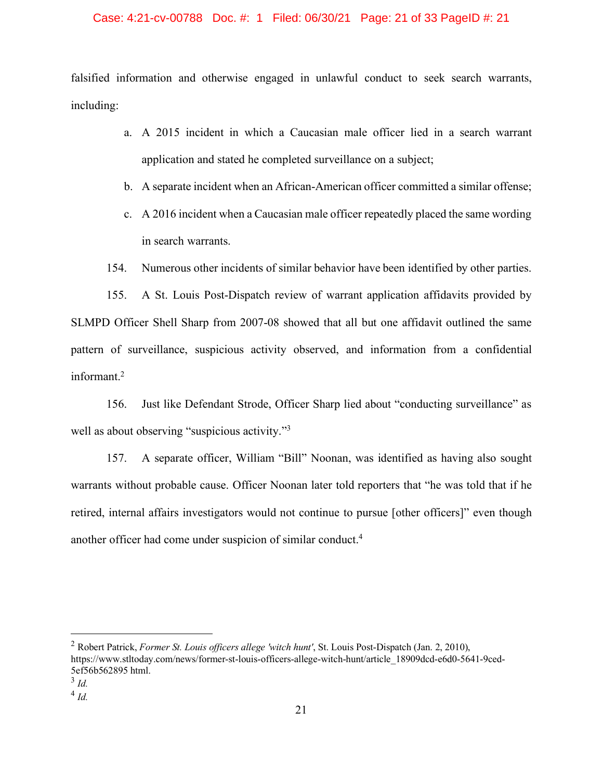### Case: 4:21-cv-00788 Doc. #: 1 Filed: 06/30/21 Page: 21 of 33 PageID #: 21

falsified information and otherwise engaged in unlawful conduct to seek search warrants, including:

- a. A 2015 incident in which a Caucasian male officer lied in a search warrant application and stated he completed surveillance on a subject;
- b. A separate incident when an African-American officer committed a similar offense;
- c. A 2016 incident when a Caucasian male officer repeatedly placed the same wording in search warrants.
- 154. Numerous other incidents of similar behavior have been identified by other parties.

155. A St. Louis Post-Dispatch review of warrant application affidavits provided by SLMPD Officer Shell Sharp from 2007-08 showed that all but one affidavit outlined the same pattern of surveillance, suspicious activity observed, and information from a confidential informant. 2

156. Just like Defendant Strode, Officer Sharp lied about "conducting surveillance" as well as about observing "suspicious activity."<sup>3</sup>

157. A separate officer, William "Bill" Noonan, was identified as having also sought warrants without probable cause. Officer Noonan later told reporters that "he was told that if he retired, internal affairs investigators would not continue to pursue [other officers]" even though another officer had come under suspicion of similar conduct.4

 <sup>2</sup> Robert Patrick, *Former St. Louis officers allege 'witch hunt'*, St. Louis Post-Dispatch (Jan. 2, 2010), https://www.stltoday.com/news/former-st-louis-officers-allege-witch-hunt/article\_18909dcd-e6d0-5641-9ced-5ef56b562895 html.

<sup>3</sup> *Id.*

<sup>4</sup> *Id.*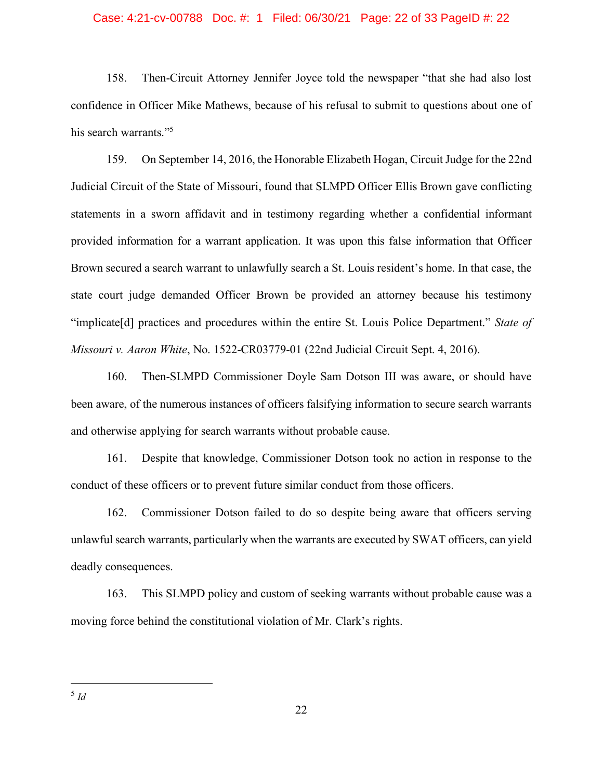### Case: 4:21-cv-00788 Doc. #: 1 Filed: 06/30/21 Page: 22 of 33 PageID #: 22

158. Then-Circuit Attorney Jennifer Joyce told the newspaper "that she had also lost confidence in Officer Mike Mathews, because of his refusal to submit to questions about one of his search warrants."<sup>5</sup>

159. On September 14, 2016, the Honorable Elizabeth Hogan, Circuit Judge for the 22nd Judicial Circuit of the State of Missouri, found that SLMPD Officer Ellis Brown gave conflicting statements in a sworn affidavit and in testimony regarding whether a confidential informant provided information for a warrant application. It was upon this false information that Officer Brown secured a search warrant to unlawfully search a St. Louis resident's home. In that case, the state court judge demanded Officer Brown be provided an attorney because his testimony "implicate[d] practices and procedures within the entire St. Louis Police Department." *State of Missouri v. Aaron White*, No. 1522-CR03779-01 (22nd Judicial Circuit Sept. 4, 2016).

160. Then-SLMPD Commissioner Doyle Sam Dotson III was aware, or should have been aware, of the numerous instances of officers falsifying information to secure search warrants and otherwise applying for search warrants without probable cause.

161. Despite that knowledge, Commissioner Dotson took no action in response to the conduct of these officers or to prevent future similar conduct from those officers.

162. Commissioner Dotson failed to do so despite being aware that officers serving unlawful search warrants, particularly when the warrants are executed by SWAT officers, can yield deadly consequences.

163. This SLMPD policy and custom of seeking warrants without probable cause was a moving force behind the constitutional violation of Mr. Clark's rights.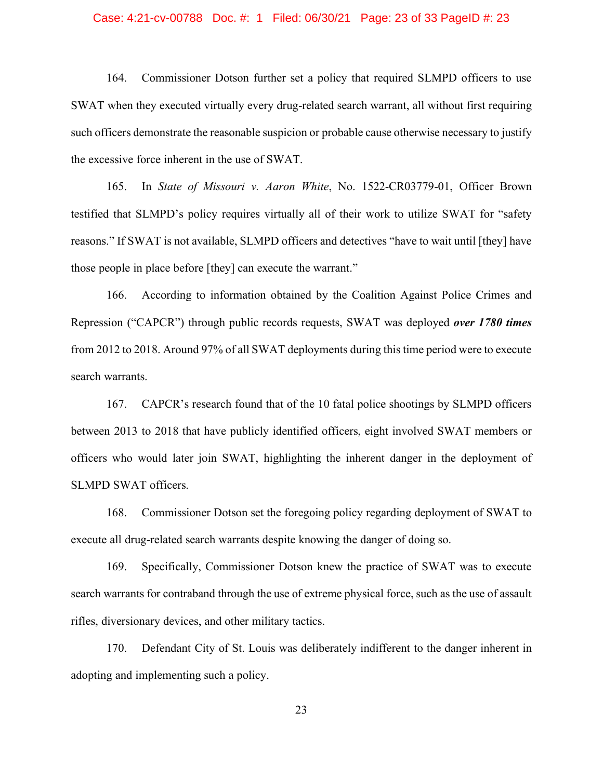### Case: 4:21-cv-00788 Doc. #: 1 Filed: 06/30/21 Page: 23 of 33 PageID #: 23

164. Commissioner Dotson further set a policy that required SLMPD officers to use SWAT when they executed virtually every drug-related search warrant, all without first requiring such officers demonstrate the reasonable suspicion or probable cause otherwise necessary to justify the excessive force inherent in the use of SWAT.

165. In *State of Missouri v. Aaron White*, No. 1522-CR03779-01, Officer Brown testified that SLMPD's policy requires virtually all of their work to utilize SWAT for "safety reasons." If SWAT is not available, SLMPD officers and detectives "have to wait until [they] have those people in place before [they] can execute the warrant."

166. According to information obtained by the Coalition Against Police Crimes and Repression ("CAPCR") through public records requests, SWAT was deployed *over 1780 times*  from 2012 to 2018. Around 97% of all SWAT deployments during this time period were to execute search warrants.

167. CAPCR's research found that of the 10 fatal police shootings by SLMPD officers between 2013 to 2018 that have publicly identified officers, eight involved SWAT members or officers who would later join SWAT, highlighting the inherent danger in the deployment of SLMPD SWAT officers.

168. Commissioner Dotson set the foregoing policy regarding deployment of SWAT to execute all drug-related search warrants despite knowing the danger of doing so.

169. Specifically, Commissioner Dotson knew the practice of SWAT was to execute search warrants for contraband through the use of extreme physical force, such as the use of assault rifles, diversionary devices, and other military tactics.

170. Defendant City of St. Louis was deliberately indifferent to the danger inherent in adopting and implementing such a policy.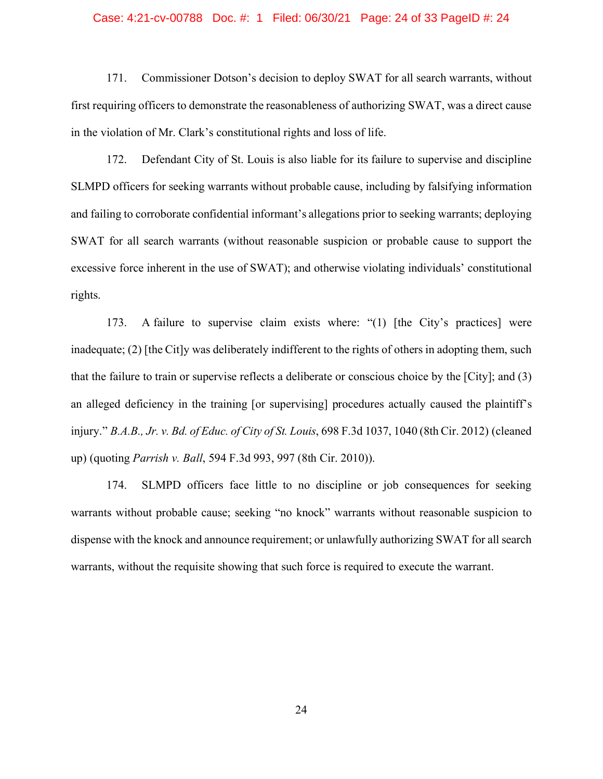### Case: 4:21-cv-00788 Doc. #: 1 Filed: 06/30/21 Page: 24 of 33 PageID #: 24

171. Commissioner Dotson's decision to deploy SWAT for all search warrants, without first requiring officers to demonstrate the reasonableness of authorizing SWAT, was a direct cause in the violation of Mr. Clark's constitutional rights and loss of life.

172. Defendant City of St. Louis is also liable for its failure to supervise and discipline SLMPD officers for seeking warrants without probable cause, including by falsifying information and failing to corroborate confidential informant's allegations prior to seeking warrants; deploying SWAT for all search warrants (without reasonable suspicion or probable cause to support the excessive force inherent in the use of SWAT); and otherwise violating individuals' constitutional rights.

173. A failure to supervise claim exists where: "(1) [the City's practices] were inadequate; (2) [the Cit]y was deliberately indifferent to the rights of others in adopting them, such that the failure to train or supervise reflects a deliberate or conscious choice by the [City]; and (3) an alleged deficiency in the training [or supervising] procedures actually caused the plaintiff's injury." *B.A.B., Jr. v. Bd. of Educ. of City of St. Louis*, 698 F.3d 1037, 1040 (8th Cir. 2012) (cleaned up) (quoting *Parrish v. Ball*, 594 F.3d 993, 997 (8th Cir. 2010)).

174. SLMPD officers face little to no discipline or job consequences for seeking warrants without probable cause; seeking "no knock" warrants without reasonable suspicion to dispense with the knock and announce requirement; or unlawfully authorizing SWAT for all search warrants, without the requisite showing that such force is required to execute the warrant.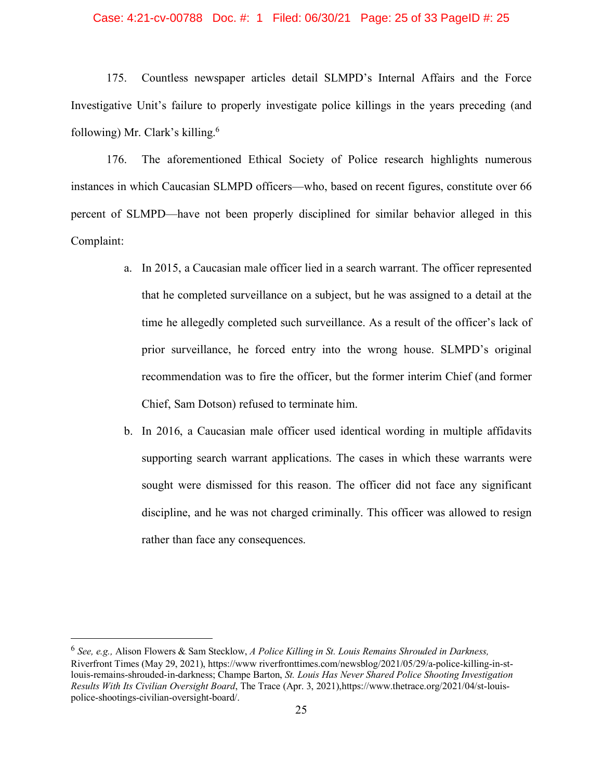### Case: 4:21-cv-00788 Doc. #: 1 Filed: 06/30/21 Page: 25 of 33 PageID #: 25

175. Countless newspaper articles detail SLMPD's Internal Affairs and the Force Investigative Unit's failure to properly investigate police killings in the years preceding (and following) Mr. Clark's killing.6

176. The aforementioned Ethical Society of Police research highlights numerous instances in which Caucasian SLMPD officers—who, based on recent figures, constitute over 66 percent of SLMPD—have not been properly disciplined for similar behavior alleged in this Complaint:

- a. In 2015, a Caucasian male officer lied in a search warrant. The officer represented that he completed surveillance on a subject, but he was assigned to a detail at the time he allegedly completed such surveillance. As a result of the officer's lack of prior surveillance, he forced entry into the wrong house. SLMPD's original recommendation was to fire the officer, but the former interim Chief (and former Chief, Sam Dotson) refused to terminate him.
- b. In 2016, a Caucasian male officer used identical wording in multiple affidavits supporting search warrant applications. The cases in which these warrants were sought were dismissed for this reason. The officer did not face any significant discipline, and he was not charged criminally. This officer was allowed to resign rather than face any consequences.

 <sup>6</sup> *See, e.g.,* Alison Flowers & Sam Stecklow, *A Police Killing in St. Louis Remains Shrouded in Darkness,* Riverfront Times (May 29, 2021), https://www riverfronttimes.com/newsblog/2021/05/29/a-police-killing-in-stlouis-remains-shrouded-in-darkness; Champe Barton, *St. Louis Has Never Shared Police Shooting Investigation Results With Its Civilian Oversight Board*, The Trace (Apr. 3, 2021),https://www.thetrace.org/2021/04/st-louispolice-shootings-civilian-oversight-board/.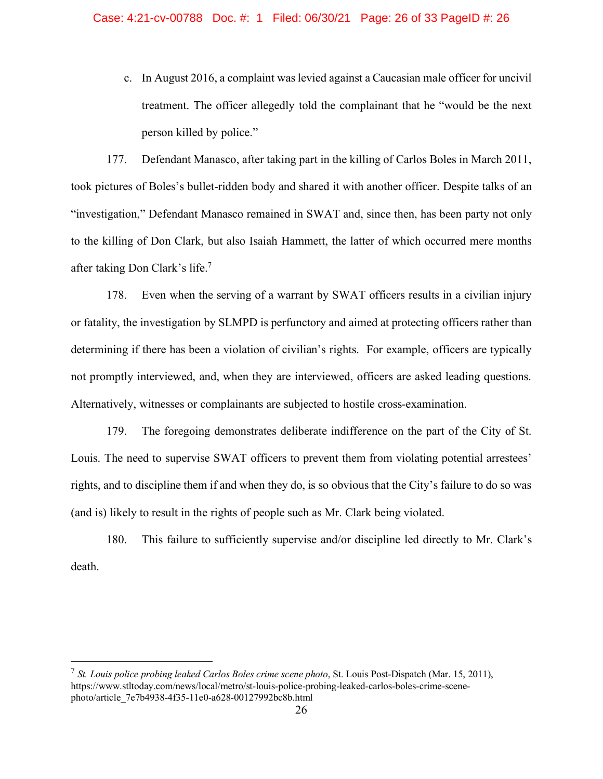c. In August 2016, a complaint was levied against a Caucasian male officer for uncivil treatment. The officer allegedly told the complainant that he "would be the next person killed by police."

177. Defendant Manasco, after taking part in the killing of Carlos Boles in March 2011, took pictures of Boles's bullet-ridden body and shared it with another officer. Despite talks of an "investigation," Defendant Manasco remained in SWAT and, since then, has been party not only to the killing of Don Clark, but also Isaiah Hammett, the latter of which occurred mere months after taking Don Clark's life. 7

178. Even when the serving of a warrant by SWAT officers results in a civilian injury or fatality, the investigation by SLMPD is perfunctory and aimed at protecting officers rather than determining if there has been a violation of civilian's rights. For example, officers are typically not promptly interviewed, and, when they are interviewed, officers are asked leading questions. Alternatively, witnesses or complainants are subjected to hostile cross-examination.

179. The foregoing demonstrates deliberate indifference on the part of the City of St. Louis. The need to supervise SWAT officers to prevent them from violating potential arrestees' rights, and to discipline them if and when they do, is so obvious that the City's failure to do so was (and is) likely to result in the rights of people such as Mr. Clark being violated.

180. This failure to sufficiently supervise and/or discipline led directly to Mr. Clark's death.

 <sup>7</sup> *St. Louis police probing leaked Carlos Boles crime scene photo*, St. Louis Post-Dispatch (Mar. 15, 2011), https://www.stltoday.com/news/local/metro/st-louis-police-probing-leaked-carlos-boles-crime-scenephoto/article\_7e7b4938-4f35-11e0-a628-00127992bc8b.html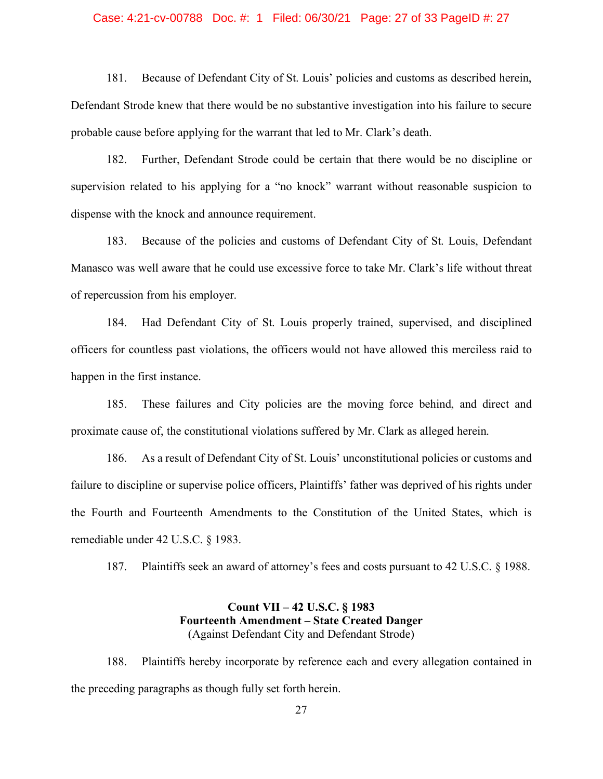### Case: 4:21-cv-00788 Doc. #: 1 Filed: 06/30/21 Page: 27 of 33 PageID #: 27

181. Because of Defendant City of St. Louis' policies and customs as described herein, Defendant Strode knew that there would be no substantive investigation into his failure to secure probable cause before applying for the warrant that led to Mr. Clark's death.

182. Further, Defendant Strode could be certain that there would be no discipline or supervision related to his applying for a "no knock" warrant without reasonable suspicion to dispense with the knock and announce requirement.

183. Because of the policies and customs of Defendant City of St. Louis, Defendant Manasco was well aware that he could use excessive force to take Mr. Clark's life without threat of repercussion from his employer.

184. Had Defendant City of St. Louis properly trained, supervised, and disciplined officers for countless past violations, the officers would not have allowed this merciless raid to happen in the first instance.

185. These failures and City policies are the moving force behind, and direct and proximate cause of, the constitutional violations suffered by Mr. Clark as alleged herein.

186. As a result of Defendant City of St. Louis' unconstitutional policies or customs and failure to discipline or supervise police officers, Plaintiffs' father was deprived of his rights under the Fourth and Fourteenth Amendments to the Constitution of the United States, which is remediable under 42 U.S.C. § 1983.

187. Plaintiffs seek an award of attorney's fees and costs pursuant to 42 U.S.C. § 1988.

# **Count VII – 42 U.S.C. § 1983 Fourteenth Amendment – State Created Danger** (Against Defendant City and Defendant Strode)

188. Plaintiffs hereby incorporate by reference each and every allegation contained in the preceding paragraphs as though fully set forth herein.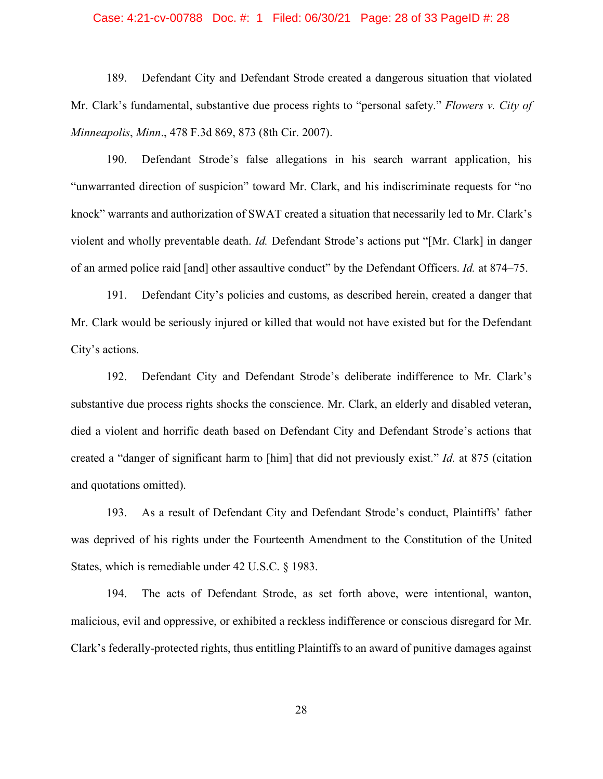### Case: 4:21-cv-00788 Doc. #: 1 Filed: 06/30/21 Page: 28 of 33 PageID #: 28

189. Defendant City and Defendant Strode created a dangerous situation that violated Mr. Clark's fundamental, substantive due process rights to "personal safety." *Flowers v. City of Minneapolis*, *Minn*., 478 F.3d 869, 873 (8th Cir. 2007).

190. Defendant Strode's false allegations in his search warrant application, his "unwarranted direction of suspicion" toward Mr. Clark, and his indiscriminate requests for "no knock" warrants and authorization of SWAT created a situation that necessarily led to Mr. Clark's violent and wholly preventable death. *Id.* Defendant Strode's actions put "[Mr. Clark] in danger of an armed police raid [and] other assaultive conduct" by the Defendant Officers. *Id.* at 874–75.

191. Defendant City's policies and customs, as described herein, created a danger that Mr. Clark would be seriously injured or killed that would not have existed but for the Defendant City's actions.

192. Defendant City and Defendant Strode's deliberate indifference to Mr. Clark's substantive due process rights shocks the conscience. Mr. Clark, an elderly and disabled veteran, died a violent and horrific death based on Defendant City and Defendant Strode's actions that created a "danger of significant harm to [him] that did not previously exist." *Id.* at 875 (citation and quotations omitted).

193. As a result of Defendant City and Defendant Strode's conduct, Plaintiffs' father was deprived of his rights under the Fourteenth Amendment to the Constitution of the United States, which is remediable under 42 U.S.C. § 1983.

194. The acts of Defendant Strode, as set forth above, were intentional, wanton, malicious, evil and oppressive, or exhibited a reckless indifference or conscious disregard for Mr. Clark's federally-protected rights, thus entitling Plaintiffs to an award of punitive damages against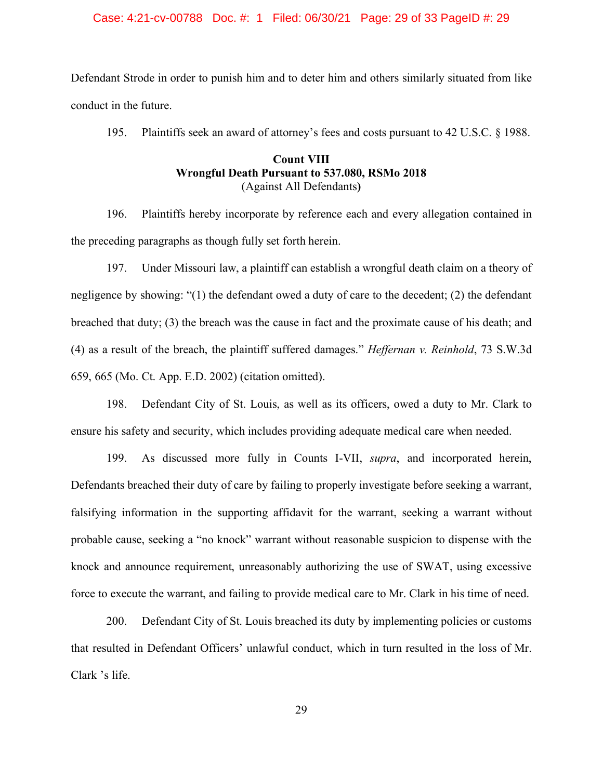### Case: 4:21-cv-00788 Doc. #: 1 Filed: 06/30/21 Page: 29 of 33 PageID #: 29

Defendant Strode in order to punish him and to deter him and others similarly situated from like conduct in the future.

195. Plaintiffs seek an award of attorney's fees and costs pursuant to 42 U.S.C. § 1988.

### **Count VIII Wrongful Death Pursuant to 537.080, RSMo 2018** (Against All Defendants**)**

196. Plaintiffs hereby incorporate by reference each and every allegation contained in the preceding paragraphs as though fully set forth herein.

197. Under Missouri law, a plaintiff can establish a wrongful death claim on a theory of negligence by showing: "(1) the defendant owed a duty of care to the decedent; (2) the defendant breached that duty; (3) the breach was the cause in fact and the proximate cause of his death; and (4) as a result of the breach, the plaintiff suffered damages." *Heffernan v. Reinhold*, 73 S.W.3d 659, 665 (Mo. Ct. App. E.D. 2002) (citation omitted).

198. Defendant City of St. Louis, as well as its officers, owed a duty to Mr. Clark to ensure his safety and security, which includes providing adequate medical care when needed.

199. As discussed more fully in Counts I-VII, *supra*, and incorporated herein, Defendants breached their duty of care by failing to properly investigate before seeking a warrant, falsifying information in the supporting affidavit for the warrant, seeking a warrant without probable cause, seeking a "no knock" warrant without reasonable suspicion to dispense with the knock and announce requirement, unreasonably authorizing the use of SWAT, using excessive force to execute the warrant, and failing to provide medical care to Mr. Clark in his time of need.

200. Defendant City of St. Louis breached its duty by implementing policies or customs that resulted in Defendant Officers' unlawful conduct, which in turn resulted in the loss of Mr. Clark 's life.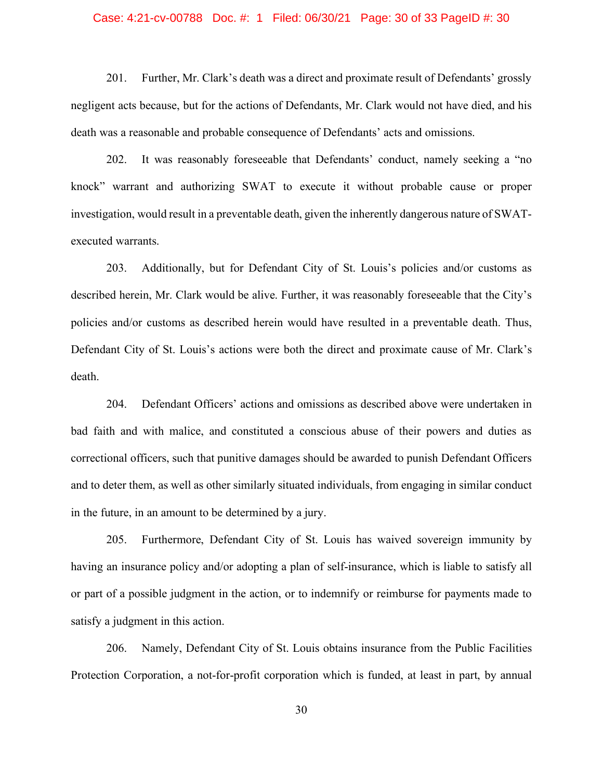### Case: 4:21-cv-00788 Doc. #: 1 Filed: 06/30/21 Page: 30 of 33 PageID #: 30

201. Further, Mr. Clark's death was a direct and proximate result of Defendants' grossly negligent acts because, but for the actions of Defendants, Mr. Clark would not have died, and his death was a reasonable and probable consequence of Defendants' acts and omissions.

202. It was reasonably foreseeable that Defendants' conduct, namely seeking a "no knock" warrant and authorizing SWAT to execute it without probable cause or proper investigation, would result in a preventable death, given the inherently dangerous nature of SWATexecuted warrants.

203. Additionally, but for Defendant City of St. Louis's policies and/or customs as described herein, Mr. Clark would be alive. Further, it was reasonably foreseeable that the City's policies and/or customs as described herein would have resulted in a preventable death. Thus, Defendant City of St. Louis's actions were both the direct and proximate cause of Mr. Clark's death.

204. Defendant Officers' actions and omissions as described above were undertaken in bad faith and with malice, and constituted a conscious abuse of their powers and duties as correctional officers, such that punitive damages should be awarded to punish Defendant Officers and to deter them, as well as other similarly situated individuals, from engaging in similar conduct in the future, in an amount to be determined by a jury.

205. Furthermore, Defendant City of St. Louis has waived sovereign immunity by having an insurance policy and/or adopting a plan of self-insurance, which is liable to satisfy all or part of a possible judgment in the action, or to indemnify or reimburse for payments made to satisfy a judgment in this action.

206. Namely, Defendant City of St. Louis obtains insurance from the Public Facilities Protection Corporation, a not-for-profit corporation which is funded, at least in part, by annual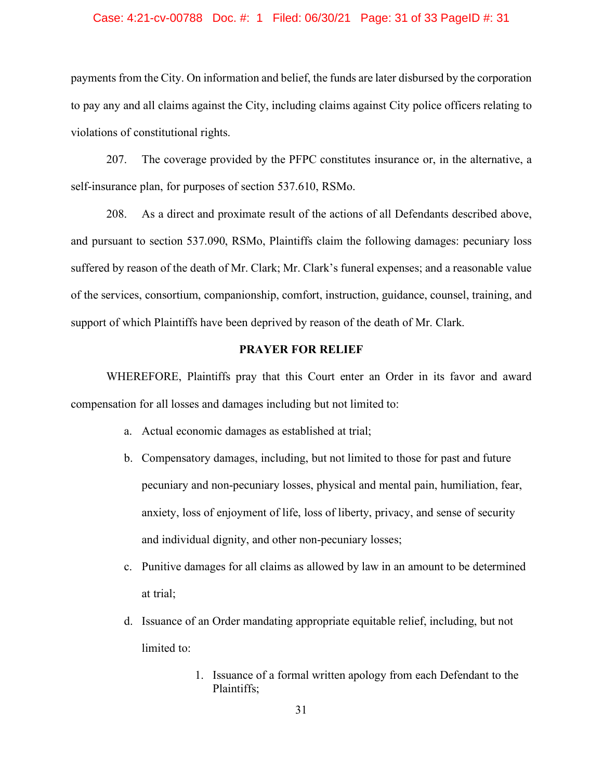### Case: 4:21-cv-00788 Doc. #: 1 Filed: 06/30/21 Page: 31 of 33 PageID #: 31

payments from the City. On information and belief, the funds are later disbursed by the corporation to pay any and all claims against the City, including claims against City police officers relating to violations of constitutional rights.

207. The coverage provided by the PFPC constitutes insurance or, in the alternative, a self-insurance plan, for purposes of section 537.610, RSMo.

208. As a direct and proximate result of the actions of all Defendants described above, and pursuant to section 537.090, RSMo, Plaintiffs claim the following damages: pecuniary loss suffered by reason of the death of Mr. Clark; Mr. Clark's funeral expenses; and a reasonable value of the services, consortium, companionship, comfort, instruction, guidance, counsel, training, and support of which Plaintiffs have been deprived by reason of the death of Mr. Clark.

### **PRAYER FOR RELIEF**

WHEREFORE, Plaintiffs pray that this Court enter an Order in its favor and award compensation for all losses and damages including but not limited to:

- a. Actual economic damages as established at trial;
- b. Compensatory damages, including, but not limited to those for past and future pecuniary and non-pecuniary losses, physical and mental pain, humiliation, fear, anxiety, loss of enjoyment of life, loss of liberty, privacy, and sense of security and individual dignity, and other non-pecuniary losses;
- c. Punitive damages for all claims as allowed by law in an amount to be determined at trial;
- d. Issuance of an Order mandating appropriate equitable relief, including, but not limited to:
	- 1. Issuance of a formal written apology from each Defendant to the Plaintiffs;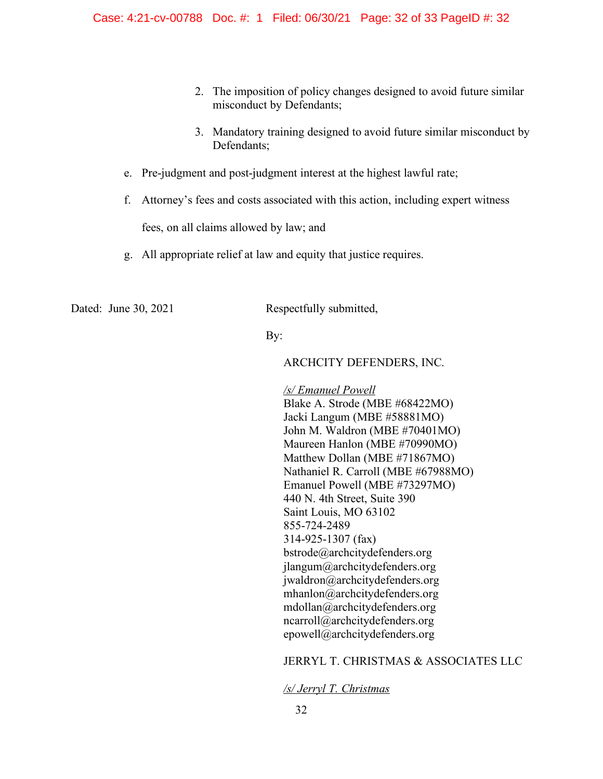- 2. The imposition of policy changes designed to avoid future similar misconduct by Defendants;
- 3. Mandatory training designed to avoid future similar misconduct by Defendants;
- e. Pre-judgment and post-judgment interest at the highest lawful rate;
- f. Attorney's fees and costs associated with this action, including expert witness

fees, on all claims allowed by law; and

g. All appropriate relief at law and equity that justice requires.

Dated: June 30, 2021 Respectfully submitted,

By:

### ARCHCITY DEFENDERS, INC.

*/s/ Emanuel Powell* Blake A. Strode (MBE #68422MO) Jacki Langum (MBE #58881MO) John M. Waldron (MBE #70401MO) Maureen Hanlon (MBE #70990MO) Matthew Dollan (MBE #71867MO) Nathaniel R. Carroll (MBE #67988MO) Emanuel Powell (MBE #73297MO) 440 N. 4th Street, Suite 390 Saint Louis, MO 63102 855-724-2489 314-925-1307 (fax) bstrode@archcitydefenders.org jlangum@archcitydefenders.org jwaldron@archcitydefenders.org mhanlon@archcitydefenders.org mdollan@archcitydefenders.org ncarroll@archcitydefenders.org epowell@archcitydefenders.org

# JERRYL T. CHRISTMAS & ASSOCIATES LLC

### */s/ Jerryl T. Christmas*